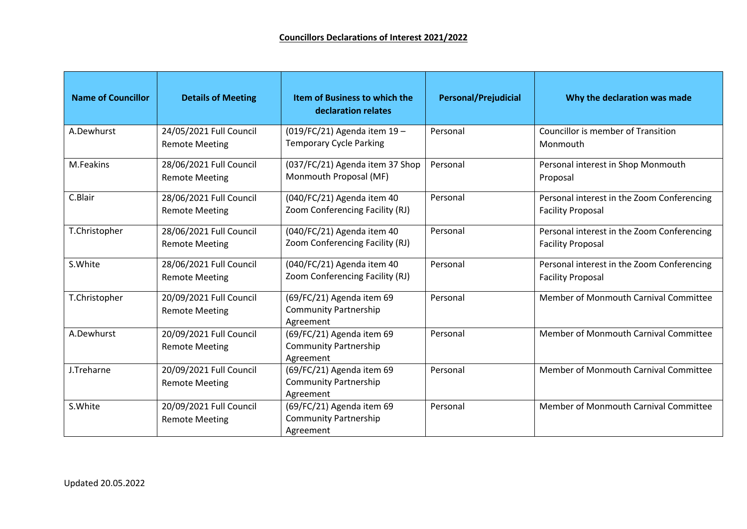| <b>Name of Councillor</b> | <b>Details of Meeting</b>                        | Item of Business to which the<br>declaration relates                   | <b>Personal/Prejudicial</b> | Why the declaration was made                                           |
|---------------------------|--------------------------------------------------|------------------------------------------------------------------------|-----------------------------|------------------------------------------------------------------------|
| A.Dewhurst                | 24/05/2021 Full Council<br><b>Remote Meeting</b> | (019/FC/21) Agenda item 19-<br><b>Temporary Cycle Parking</b>          | Personal                    | <b>Councillor is member of Transition</b><br>Monmouth                  |
| M.Feakins                 | 28/06/2021 Full Council<br><b>Remote Meeting</b> | (037/FC/21) Agenda item 37 Shop<br>Monmouth Proposal (MF)              | Personal                    | Personal interest in Shop Monmouth<br>Proposal                         |
| C.Blair                   | 28/06/2021 Full Council<br><b>Remote Meeting</b> | (040/FC/21) Agenda item 40<br>Zoom Conferencing Facility (RJ)          | Personal                    | Personal interest in the Zoom Conferencing<br><b>Facility Proposal</b> |
| T.Christopher             | 28/06/2021 Full Council<br><b>Remote Meeting</b> | (040/FC/21) Agenda item 40<br>Zoom Conferencing Facility (RJ)          | Personal                    | Personal interest in the Zoom Conferencing<br><b>Facility Proposal</b> |
| S.White                   | 28/06/2021 Full Council<br><b>Remote Meeting</b> | (040/FC/21) Agenda item 40<br>Zoom Conferencing Facility (RJ)          | Personal                    | Personal interest in the Zoom Conferencing<br><b>Facility Proposal</b> |
| T.Christopher             | 20/09/2021 Full Council<br><b>Remote Meeting</b> | (69/FC/21) Agenda item 69<br><b>Community Partnership</b><br>Agreement | Personal                    | Member of Monmouth Carnival Committee                                  |
| A.Dewhurst                | 20/09/2021 Full Council<br><b>Remote Meeting</b> | (69/FC/21) Agenda item 69<br><b>Community Partnership</b><br>Agreement | Personal                    | Member of Monmouth Carnival Committee                                  |
| J.Treharne                | 20/09/2021 Full Council<br><b>Remote Meeting</b> | (69/FC/21) Agenda item 69<br><b>Community Partnership</b><br>Agreement | Personal                    | Member of Monmouth Carnival Committee                                  |
| S.White                   | 20/09/2021 Full Council<br><b>Remote Meeting</b> | (69/FC/21) Agenda item 69<br><b>Community Partnership</b><br>Agreement | Personal                    | Member of Monmouth Carnival Committee                                  |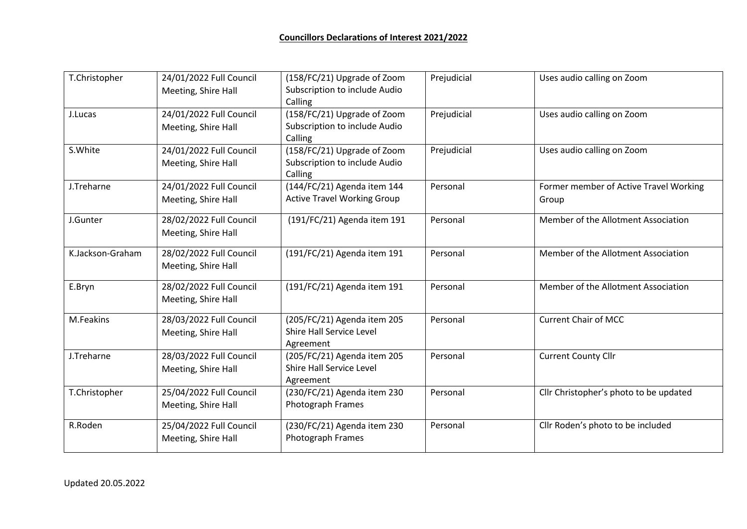| T.Christopher    | 24/01/2022 Full Council<br>Meeting, Shire Hall | (158/FC/21) Upgrade of Zoom<br>Subscription to include Audio<br>Calling | Prejudicial | Uses audio calling on Zoom                      |
|------------------|------------------------------------------------|-------------------------------------------------------------------------|-------------|-------------------------------------------------|
| J.Lucas          | 24/01/2022 Full Council<br>Meeting, Shire Hall | (158/FC/21) Upgrade of Zoom<br>Subscription to include Audio<br>Calling | Prejudicial | Uses audio calling on Zoom                      |
| S.White          | 24/01/2022 Full Council<br>Meeting, Shire Hall | (158/FC/21) Upgrade of Zoom<br>Subscription to include Audio<br>Calling | Prejudicial | Uses audio calling on Zoom                      |
| J.Treharne       | 24/01/2022 Full Council<br>Meeting, Shire Hall | (144/FC/21) Agenda item 144<br><b>Active Travel Working Group</b>       | Personal    | Former member of Active Travel Working<br>Group |
| J.Gunter         | 28/02/2022 Full Council<br>Meeting, Shire Hall | (191/FC/21) Agenda item 191                                             | Personal    | Member of the Allotment Association             |
| K.Jackson-Graham | 28/02/2022 Full Council<br>Meeting, Shire Hall | (191/FC/21) Agenda item 191                                             | Personal    | Member of the Allotment Association             |
| E.Bryn           | 28/02/2022 Full Council<br>Meeting, Shire Hall | (191/FC/21) Agenda item 191                                             | Personal    | Member of the Allotment Association             |
| M.Feakins        | 28/03/2022 Full Council<br>Meeting, Shire Hall | (205/FC/21) Agenda item 205<br>Shire Hall Service Level<br>Agreement    | Personal    | <b>Current Chair of MCC</b>                     |
| J.Treharne       | 28/03/2022 Full Council<br>Meeting, Shire Hall | (205/FC/21) Agenda item 205<br>Shire Hall Service Level<br>Agreement    | Personal    | <b>Current County Cllr</b>                      |
| T.Christopher    | 25/04/2022 Full Council<br>Meeting, Shire Hall | (230/FC/21) Agenda item 230<br><b>Photograph Frames</b>                 | Personal    | Cllr Christopher's photo to be updated          |
| R.Roden          | 25/04/2022 Full Council<br>Meeting, Shire Hall | (230/FC/21) Agenda item 230<br>Photograph Frames                        | Personal    | Cllr Roden's photo to be included               |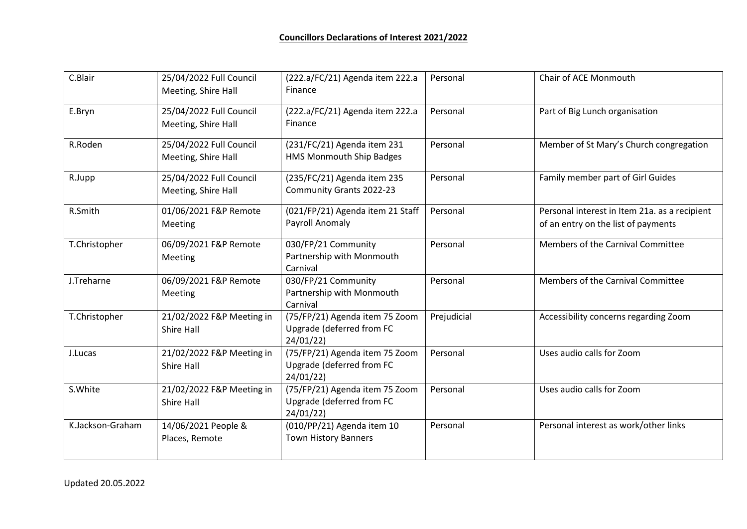| C.Blair          | 25/04/2022 Full Council<br>Meeting, Shire Hall | (222.a/FC/21) Agenda item 222.a<br>Finance                              | Personal    | Chair of ACE Monmouth                                                                |
|------------------|------------------------------------------------|-------------------------------------------------------------------------|-------------|--------------------------------------------------------------------------------------|
| E.Bryn           | 25/04/2022 Full Council<br>Meeting, Shire Hall | (222.a/FC/21) Agenda item 222.a<br>Finance                              | Personal    | Part of Big Lunch organisation                                                       |
| R.Roden          | 25/04/2022 Full Council<br>Meeting, Shire Hall | (231/FC/21) Agenda item 231<br>HMS Monmouth Ship Badges                 | Personal    | Member of St Mary's Church congregation                                              |
| R.Jupp           | 25/04/2022 Full Council<br>Meeting, Shire Hall | (235/FC/21) Agenda item 235<br>Community Grants 2022-23                 | Personal    | Family member part of Girl Guides                                                    |
| R.Smith          | 01/06/2021 F&P Remote<br><b>Meeting</b>        | (021/FP/21) Agenda item 21 Staff<br>Payroll Anomaly                     | Personal    | Personal interest in Item 21a. as a recipient<br>of an entry on the list of payments |
| T.Christopher    | 06/09/2021 F&P Remote<br>Meeting               | 030/FP/21 Community<br>Partnership with Monmouth<br>Carnival            | Personal    | Members of the Carnival Committee                                                    |
| J.Treharne       | 06/09/2021 F&P Remote<br><b>Meeting</b>        | 030/FP/21 Community<br>Partnership with Monmouth<br>Carnival            | Personal    | Members of the Carnival Committee                                                    |
| T.Christopher    | 21/02/2022 F&P Meeting in<br><b>Shire Hall</b> | (75/FP/21) Agenda item 75 Zoom<br>Upgrade (deferred from FC<br>24/01/22 | Prejudicial | Accessibility concerns regarding Zoom                                                |
| J.Lucas          | 21/02/2022 F&P Meeting in<br><b>Shire Hall</b> | (75/FP/21) Agenda item 75 Zoom<br>Upgrade (deferred from FC<br>24/01/22 | Personal    | Uses audio calls for Zoom                                                            |
| S.White          | 21/02/2022 F&P Meeting in<br><b>Shire Hall</b> | (75/FP/21) Agenda item 75 Zoom<br>Upgrade (deferred from FC<br>24/01/22 | Personal    | Uses audio calls for Zoom                                                            |
| K.Jackson-Graham | 14/06/2021 People &<br>Places, Remote          | (010/PP/21) Agenda item 10<br><b>Town History Banners</b>               | Personal    | Personal interest as work/other links                                                |

Updated 20.05.2022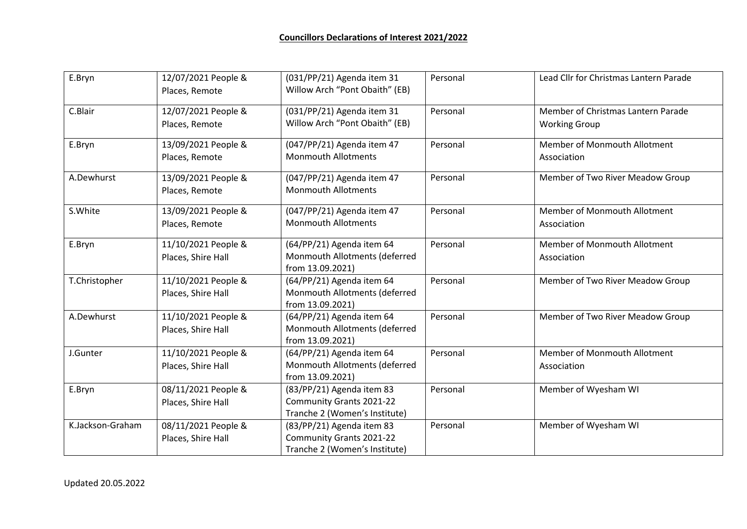| E.Bryn           | 12/07/2021 People &<br>Places, Remote     | (031/PP/21) Agenda item 31<br>Willow Arch "Pont Obaith" (EB)                           | Personal | Lead Cllr for Christmas Lantern Parade                     |
|------------------|-------------------------------------------|----------------------------------------------------------------------------------------|----------|------------------------------------------------------------|
| C.Blair          | 12/07/2021 People &<br>Places, Remote     | (031/PP/21) Agenda item 31<br>Willow Arch "Pont Obaith" (EB)                           | Personal | Member of Christmas Lantern Parade<br><b>Working Group</b> |
| E.Bryn           | 13/09/2021 People &<br>Places, Remote     | (047/PP/21) Agenda item 47<br><b>Monmouth Allotments</b>                               | Personal | Member of Monmouth Allotment<br>Association                |
| A.Dewhurst       | 13/09/2021 People &<br>Places, Remote     | (047/PP/21) Agenda item 47<br><b>Monmouth Allotments</b>                               | Personal | Member of Two River Meadow Group                           |
| S.White          | 13/09/2021 People &<br>Places, Remote     | (047/PP/21) Agenda item 47<br><b>Monmouth Allotments</b>                               | Personal | Member of Monmouth Allotment<br>Association                |
| E.Bryn           | 11/10/2021 People &<br>Places, Shire Hall | (64/PP/21) Agenda item 64<br>Monmouth Allotments (deferred<br>from 13.09.2021)         | Personal | Member of Monmouth Allotment<br>Association                |
| T.Christopher    | 11/10/2021 People &<br>Places, Shire Hall | (64/PP/21) Agenda item 64<br>Monmouth Allotments (deferred<br>from 13.09.2021)         | Personal | Member of Two River Meadow Group                           |
| A.Dewhurst       | 11/10/2021 People &<br>Places, Shire Hall | (64/PP/21) Agenda item 64<br>Monmouth Allotments (deferred<br>from 13.09.2021)         | Personal | Member of Two River Meadow Group                           |
| J.Gunter         | 11/10/2021 People &<br>Places, Shire Hall | (64/PP/21) Agenda item 64<br>Monmouth Allotments (deferred<br>from 13.09.2021)         | Personal | Member of Monmouth Allotment<br>Association                |
| E.Bryn           | 08/11/2021 People &<br>Places, Shire Hall | (83/PP/21) Agenda item 83<br>Community Grants 2021-22<br>Tranche 2 (Women's Institute) | Personal | Member of Wyesham WI                                       |
| K.Jackson-Graham | 08/11/2021 People &<br>Places, Shire Hall | (83/PP/21) Agenda item 83<br>Community Grants 2021-22<br>Tranche 2 (Women's Institute) | Personal | Member of Wyesham WI                                       |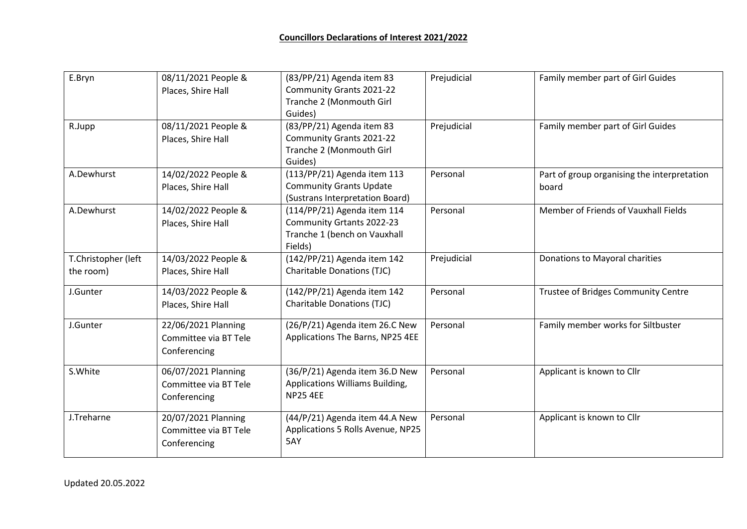| E.Bryn              | 08/11/2021 People &   | (83/PP/21) Agenda item 83         | Prejudicial | Family member part of Girl Guides           |
|---------------------|-----------------------|-----------------------------------|-------------|---------------------------------------------|
|                     | Places, Shire Hall    | Community Grants 2021-22          |             |                                             |
|                     |                       | Tranche 2 (Monmouth Girl          |             |                                             |
|                     |                       | Guides)                           |             |                                             |
| R.Jupp              | 08/11/2021 People &   | (83/PP/21) Agenda item 83         | Prejudicial | Family member part of Girl Guides           |
|                     | Places, Shire Hall    | Community Grants 2021-22          |             |                                             |
|                     |                       | Tranche 2 (Monmouth Girl          |             |                                             |
|                     |                       | Guides)                           |             |                                             |
| A.Dewhurst          | 14/02/2022 People &   | (113/PP/21) Agenda item 113       | Personal    | Part of group organising the interpretation |
|                     | Places, Shire Hall    | <b>Community Grants Update</b>    |             | board                                       |
|                     |                       | (Sustrans Interpretation Board)   |             |                                             |
| A.Dewhurst          | 14/02/2022 People &   | (114/PP/21) Agenda item 114       | Personal    | Member of Friends of Vauxhall Fields        |
|                     | Places, Shire Hall    | Community Grtants 2022-23         |             |                                             |
|                     |                       | Tranche 1 (bench on Vauxhall      |             |                                             |
|                     |                       | Fields)                           |             |                                             |
| T.Christopher (left | 14/03/2022 People &   | (142/PP/21) Agenda item 142       | Prejudicial | Donations to Mayoral charities              |
| the room)           | Places, Shire Hall    | <b>Charitable Donations (TJC)</b> |             |                                             |
| J.Gunter            | 14/03/2022 People &   | (142/PP/21) Agenda item 142       | Personal    | Trustee of Bridges Community Centre         |
|                     | Places, Shire Hall    | <b>Charitable Donations (TJC)</b> |             |                                             |
| J.Gunter            | 22/06/2021 Planning   | (26/P/21) Agenda item 26.C New    | Personal    | Family member works for Siltbuster          |
|                     | Committee via BT Tele | Applications The Barns, NP25 4EE  |             |                                             |
|                     | Conferencing          |                                   |             |                                             |
|                     |                       |                                   |             |                                             |
| S.White             | 06/07/2021 Planning   | (36/P/21) Agenda item 36.D New    | Personal    | Applicant is known to Cllr                  |
|                     | Committee via BT Tele | Applications Williams Building,   |             |                                             |
|                     | Conferencing          | <b>NP25 4EE</b>                   |             |                                             |
| J.Treharne          | 20/07/2021 Planning   | (44/P/21) Agenda item 44.A New    | Personal    | Applicant is known to Cllr                  |
|                     | Committee via BT Tele | Applications 5 Rolls Avenue, NP25 |             |                                             |
|                     | Conferencing          | 5AY                               |             |                                             |
|                     |                       |                                   |             |                                             |

Updated 20.05.2022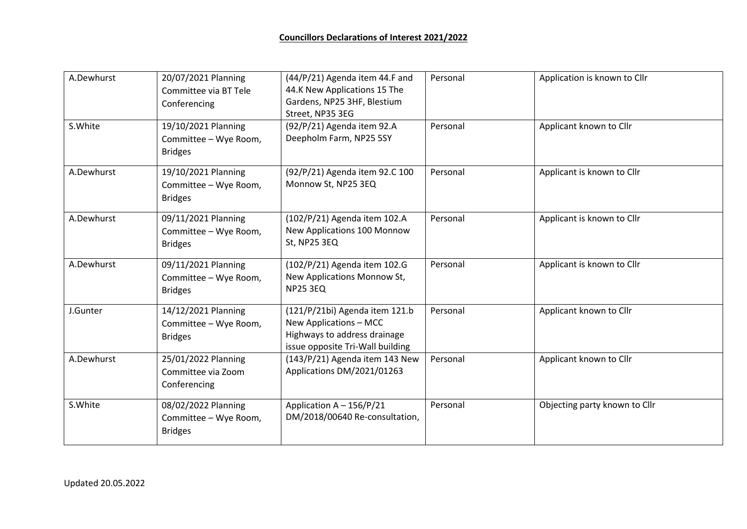| A.Dewhurst | 20/07/2021 Planning<br>Committee via BT Tele<br>Conferencing   | (44/P/21) Agenda item 44.F and<br>44.K New Applications 15 The<br>Gardens, NP25 3HF, Blestium<br>Street, NP35 3EG            | Personal | Application is known to Cllr  |
|------------|----------------------------------------------------------------|------------------------------------------------------------------------------------------------------------------------------|----------|-------------------------------|
| S.White    | 19/10/2021 Planning<br>Committee - Wye Room,<br><b>Bridges</b> | (92/P/21) Agenda item 92.A<br>Deepholm Farm, NP25 5SY                                                                        | Personal | Applicant known to Cllr       |
| A.Dewhurst | 19/10/2021 Planning<br>Committee - Wye Room,<br><b>Bridges</b> | (92/P/21) Agenda item 92.C 100<br>Monnow St, NP25 3EQ                                                                        | Personal | Applicant is known to Cllr    |
| A.Dewhurst | 09/11/2021 Planning<br>Committee - Wye Room,<br><b>Bridges</b> | (102/P/21) Agenda item 102.A<br>New Applications 100 Monnow<br>St, NP25 3EQ                                                  | Personal | Applicant is known to Cllr    |
| A.Dewhurst | 09/11/2021 Planning<br>Committee - Wye Room,<br><b>Bridges</b> | (102/P/21) Agenda item 102.G<br>New Applications Monnow St,<br><b>NP25 3EQ</b>                                               | Personal | Applicant is known to Cllr    |
| J.Gunter   | 14/12/2021 Planning<br>Committee - Wye Room,<br><b>Bridges</b> | (121/P/21bi) Agenda item 121.b<br>New Applications - MCC<br>Highways to address drainage<br>issue opposite Tri-Wall building | Personal | Applicant known to Cllr       |
| A.Dewhurst | 25/01/2022 Planning<br>Committee via Zoom<br>Conferencing      | (143/P/21) Agenda item 143 New<br>Applications DM/2021/01263                                                                 | Personal | Applicant known to Cllr       |
| S.White    | 08/02/2022 Planning<br>Committee - Wye Room,<br><b>Bridges</b> | Application A - 156/P/21<br>DM/2018/00640 Re-consultation,                                                                   | Personal | Objecting party known to Cllr |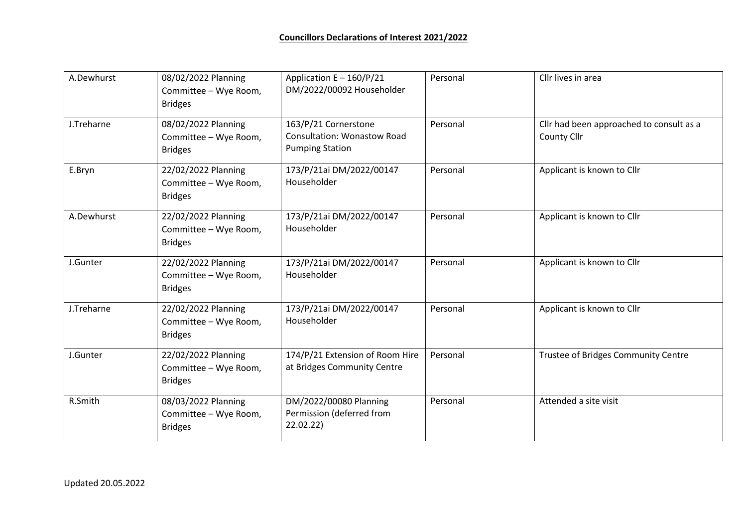| A.Dewhurst | 08/02/2022 Planning<br>Committee - Wye Room,<br><b>Bridges</b> | Application E - 160/P/21<br>DM/2022/00092 Householder                                | Personal | Cllr lives in area                                      |
|------------|----------------------------------------------------------------|--------------------------------------------------------------------------------------|----------|---------------------------------------------------------|
| J.Treharne | 08/02/2022 Planning<br>Committee - Wye Room,<br><b>Bridges</b> | 163/P/21 Cornerstone<br><b>Consultation: Wonastow Road</b><br><b>Pumping Station</b> | Personal | Cllr had been approached to consult as a<br>County Cllr |
| E.Bryn     | 22/02/2022 Planning<br>Committee - Wye Room,<br><b>Bridges</b> | 173/P/21ai DM/2022/00147<br>Householder                                              | Personal | Applicant is known to Cllr                              |
| A.Dewhurst | 22/02/2022 Planning<br>Committee - Wye Room,<br><b>Bridges</b> | 173/P/21ai DM/2022/00147<br>Householder                                              | Personal | Applicant is known to Cllr                              |
| J.Gunter   | 22/02/2022 Planning<br>Committee - Wye Room,<br><b>Bridges</b> | 173/P/21ai DM/2022/00147<br>Householder                                              | Personal | Applicant is known to Cllr                              |
| J.Treharne | 22/02/2022 Planning<br>Committee - Wye Room,<br><b>Bridges</b> | 173/P/21ai DM/2022/00147<br>Householder                                              | Personal | Applicant is known to Cllr                              |
| J.Gunter   | 22/02/2022 Planning<br>Committee - Wye Room,<br><b>Bridges</b> | 174/P/21 Extension of Room Hire<br>at Bridges Community Centre                       | Personal | Trustee of Bridges Community Centre                     |
| R.Smith    | 08/03/2022 Planning<br>Committee - Wye Room,<br><b>Bridges</b> | DM/2022/00080 Planning<br>Permission (deferred from<br>22.02.22)                     | Personal | Attended a site visit                                   |